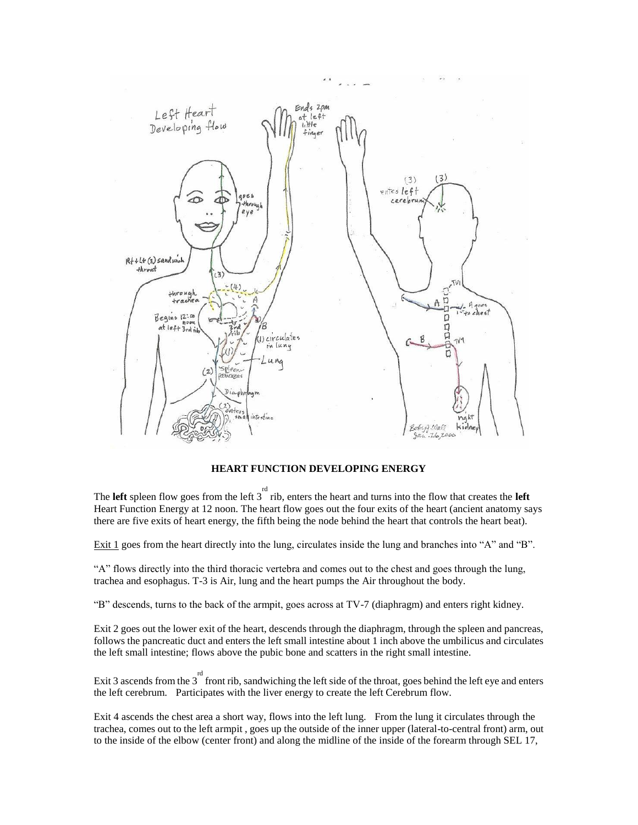

**HEART FUNCTION DEVELOPING ENERGY** 

The **left** spleen flow goes from the left  $3^{rd}$  rib, enters the heart and turns into the flow that creates the **left** Heart Function Energy at 12 noon. The heart flow goes out the four exits of the heart (ancient anatomy says there are five exits of heart energy, the fifth being the node behind the heart that controls the heart beat).

Exit 1 goes from the heart directly into the lung, circulates inside the lung and branches into "A" and "B".

"A" flows directly into the third thoracic vertebra and comes out to the chest and goes through the lung, trachea and esophagus. T-3 is Air, lung and the heart pumps the Air throughout the body.

"B" descends, turns to the back of the armpit, goes across at TV-7 (diaphragm) and enters right kidney.

Exit 2 goes out the lower exit of the heart, descends through the diaphragm, through the spleen and pancreas, follows the pancreatic duct and enters the left small intestine about 1 inch above the umbilicus and circulates the left small intestine; flows above the pubic bone and scatters in the right small intestine.

Exit 3 ascends from the  $3<sup>rd</sup>$  front rib, sandwiching the left side of the throat, goes behind the left eye and enters the left cerebrum. Participates with the liver energy to create the left Cerebrum flow.

Exit 4 ascends the chest area a short way, flows into the left lung. From the lung it circulates through the trachea, comes out to the left armpit , goes up the outside of the inner upper (lateral-to-central front) arm, out to the inside of the elbow (center front) and along the midline of the inside of the forearm through SEL 17,